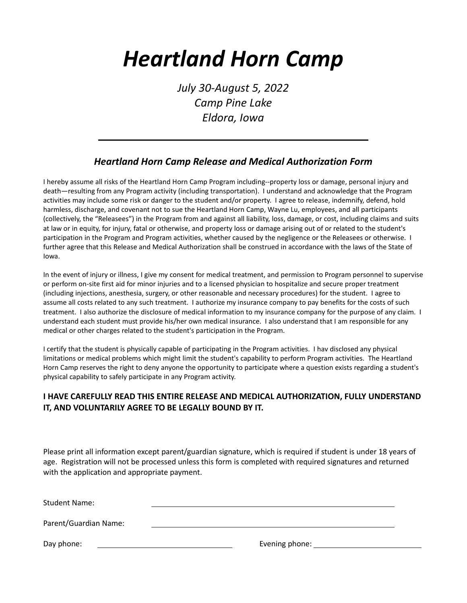## *Heartland Horn Camp*

*July 30-August 5, 2022 Camp Pine Lake Eldora, Iowa*

## *Heartland Horn Camp Release and Medical Authorization Form*

I hereby assume all risks of the Heartland Horn Camp Program including--property loss or damage, personal injury and death—resulting from any Program activity (including transportation). I understand and acknowledge that the Program activities may include some risk or danger to the student and/or property. I agree to release, indemnify, defend, hold harmless, discharge, and covenant not to sue the Heartland Horn Camp, Wayne Lu, employees, and all participants (collectively, the "Releasees") in the Program from and against all liability, loss, damage, or cost, including claims and suits at law or in equity, for injury, fatal or otherwise, and property loss or damage arising out of or related to the student's participation in the Program and Program activities, whether caused by the negligence or the Releasees or otherwise. I further agree that this Release and Medical Authorization shall be construed in accordance with the laws of the State of Iowa.

In the event of injury or illness, I give my consent for medical treatment, and permission to Program personnel to supervise or perform on-site first aid for minor injuries and to a licensed physician to hospitalize and secure proper treatment (including injections, anesthesia, surgery, or other reasonable and necessary procedures) for the student. I agree to assume all costs related to any such treatment. I authorize my insurance company to pay benefits for the costs of such treatment. I also authorize the disclosure of medical information to my insurance company for the purpose of any claim. I understand each student must provide his/her own medical insurance. I also understand that I am responsible for any medical or other charges related to the student's participation in the Program.

I certify that the student is physically capable of participating in the Program activities. I hav disclosed any physical limitations or medical problems which might limit the student's capability to perform Program activities. The Heartland Horn Camp reserves the right to deny anyone the opportunity to participate where a question exists regarding a student's physical capability to safely participate in any Program activity.

## **I HAVE CAREFULLY READ THIS ENTIRE RELEASE AND MEDICAL AUTHORIZATION, FULLY UNDERSTAND IT, AND VOLUNTARILY AGREE TO BE LEGALLY BOUND BY IT.**

Please print all information except parent/guardian signature, which is required if student is under 18 years of age. Registration will not be processed unless this form is completed with required signatures and returned with the application and appropriate payment.

Student Name:

Parent/Guardian Name:

Day phone: Letter and the contract of the contract of the Evening phone: Letter and the contract of the contract of the contract of the contract of the contract of the contract of the contract of the contract of the contra